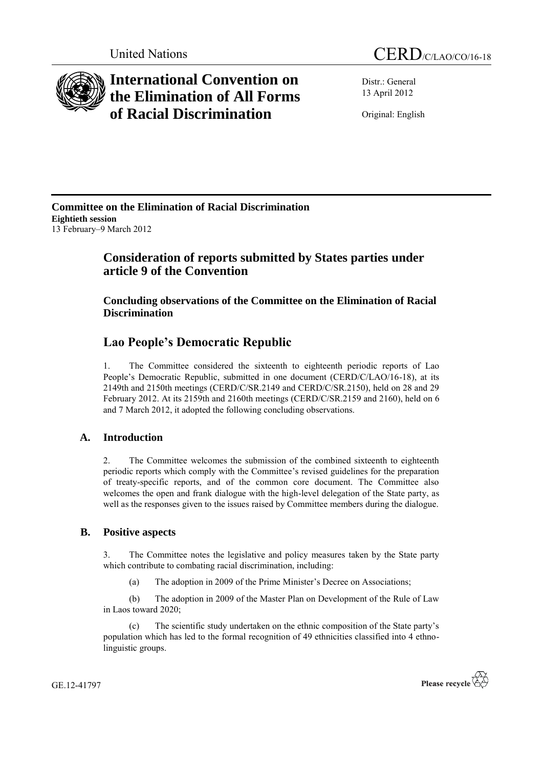

# **International Convention on the Elimination of All Forms of Racial Discrimination**

Distr.: General 13 April 2012

Original: English

**Committee on the Elimination of Racial Discrimination Eightieth session**  13 February–9 March 2012

## **Consideration of reports submitted by States parties under article 9 of the Convention**

**Concluding observations of the Committee on the Elimination of Racial Discrimination**

## **Lao People's Democratic Republic**

1. The Committee considered the sixteenth to eighteenth periodic reports of Lao People's Democratic Republic, submitted in one document (CERD/C/LAO/16-18), at its 2149th and 2150th meetings (CERD/C/SR.2149 and CERD/C/SR.2150), held on 28 and 29 February 2012. At its 2159th and 2160th meetings (CERD/C/SR.2159 and 2160), held on 6 and 7 March 2012, it adopted the following concluding observations.

## **A. Introduction**

2. The Committee welcomes the submission of the combined sixteenth to eighteenth periodic reports which comply with the Committee's revised guidelines for the preparation of treaty-specific reports, and of the common core document. The Committee also welcomes the open and frank dialogue with the high-level delegation of the State party, as well as the responses given to the issues raised by Committee members during the dialogue.

### **B. Positive aspects**

3. The Committee notes the legislative and policy measures taken by the State party which contribute to combating racial discrimination, including:

(a) The adoption in 2009 of the Prime Minister's Decree on Associations;

(b) The adoption in 2009 of the Master Plan on Development of the Rule of Law in Laos toward 2020;

(c) The scientific study undertaken on the ethnic composition of the State party's population which has led to the formal recognition of 49 ethnicities classified into 4 ethnolinguistic groups.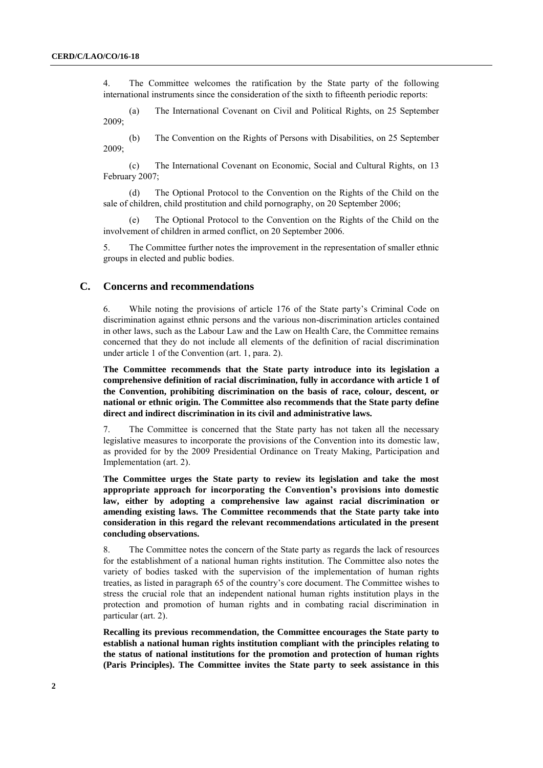4. The Committee welcomes the ratification by the State party of the following international instruments since the consideration of the sixth to fifteenth periodic reports:

(a) The International Covenant on Civil and Political Rights, on 25 September 2009;

(b) The Convention on the Rights of Persons with Disabilities, on 25 September 2009;

(c) The International Covenant on Economic, Social and Cultural Rights, on 13 February 2007;

(d) The Optional Protocol to the Convention on the Rights of the Child on the sale of children, child prostitution and child pornography, on 20 September 2006;

The Optional Protocol to the Convention on the Rights of the Child on the involvement of children in armed conflict, on 20 September 2006.

5. The Committee further notes the improvement in the representation of smaller ethnic groups in elected and public bodies.

### **C. Concerns and recommendations**

6. While noting the provisions of article 176 of the State party's Criminal Code on discrimination against ethnic persons and the various non-discrimination articles contained in other laws, such as the Labour Law and the Law on Health Care, the Committee remains concerned that they do not include all elements of the definition of racial discrimination under article 1 of the Convention (art. 1, para. 2).

**The Committee recommends that the State party introduce into its legislation a comprehensive definition of racial discrimination, fully in accordance with article 1 of the Convention, prohibiting discrimination on the basis of race, colour, descent, or national or ethnic origin. The Committee also recommends that the State party define direct and indirect discrimination in its civil and administrative laws.**

7. The Committee is concerned that the State party has not taken all the necessary legislative measures to incorporate the provisions of the Convention into its domestic law, as provided for by the 2009 Presidential Ordinance on Treaty Making, Participation and Implementation (art. 2).

**The Committee urges the State party to review its legislation and take the most appropriate approach for incorporating the Convention's provisions into domestic law, either by adopting a comprehensive law against racial discrimination or amending existing laws. The Committee recommends that the State party take into consideration in this regard the relevant recommendations articulated in the present concluding observations.** 

8. The Committee notes the concern of the State party as regards the lack of resources for the establishment of a national human rights institution. The Committee also notes the variety of bodies tasked with the supervision of the implementation of human rights treaties, as listed in paragraph 65 of the country's core document. The Committee wishes to stress the crucial role that an independent national human rights institution plays in the protection and promotion of human rights and in combating racial discrimination in particular (art. 2).

**Recalling its previous recommendation, the Committee encourages the State party to establish a national human rights institution compliant with the principles relating to the status of national institutions for the promotion and protection of human rights (Paris Principles). The Committee invites the State party to seek assistance in this**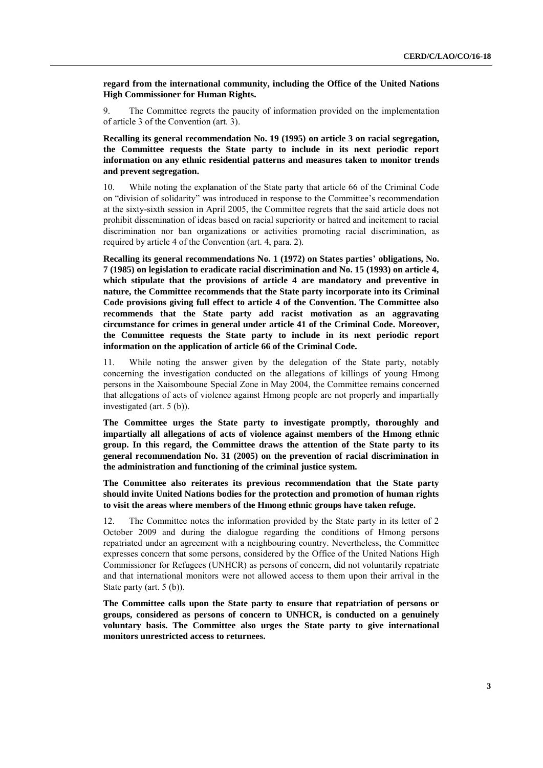**regard from the international community, including the Office of the United Nations High Commissioner for Human Rights.**

9. The Committee regrets the paucity of information provided on the implementation of article 3 of the Convention (art. 3).

**Recalling its general recommendation No. 19 (1995) on article 3 on racial segregation, the Committee requests the State party to include in its next periodic report information on any ethnic residential patterns and measures taken to monitor trends and prevent segregation.**

10. While noting the explanation of the State party that article 66 of the Criminal Code on "division of solidarity" was introduced in response to the Committee's recommendation at the sixty-sixth session in April 2005, the Committee regrets that the said article does not prohibit dissemination of ideas based on racial superiority or hatred and incitement to racial discrimination nor ban organizations or activities promoting racial discrimination, as required by article 4 of the Convention (art. 4, para. 2).

**Recalling its general recommendations No. 1 (1972) on States parties' obligations, No. 7 (1985) on legislation to eradicate racial discrimination and No. 15 (1993) on article 4, which stipulate that the provisions of article 4 are mandatory and preventive in nature, the Committee recommends that the State party incorporate into its Criminal Code provisions giving full effect to article 4 of the Convention. The Committee also recommends that the State party add racist motivation as an aggravating circumstance for crimes in general under article 41 of the Criminal Code. Moreover, the Committee requests the State party to include in its next periodic report information on the application of article 66 of the Criminal Code.**

11. While noting the answer given by the delegation of the State party, notably concerning the investigation conducted on the allegations of killings of young Hmong persons in the Xaisomboune Special Zone in May 2004, the Committee remains concerned that allegations of acts of violence against Hmong people are not properly and impartially investigated (art. 5 (b)).

**The Committee urges the State party to investigate promptly, thoroughly and impartially all allegations of acts of violence against members of the Hmong ethnic group. In this regard, the Committee draws the attention of the State party to its general recommendation No. 31 (2005) on the prevention of racial discrimination in the administration and functioning of the criminal justice system.**

**The Committee also reiterates its previous recommendation that the State party should invite United Nations bodies for the protection and promotion of human rights to visit the areas where members of the Hmong ethnic groups have taken refuge.**

12. The Committee notes the information provided by the State party in its letter of 2 October 2009 and during the dialogue regarding the conditions of Hmong persons repatriated under an agreement with a neighbouring country. Nevertheless, the Committee expresses concern that some persons, considered by the Office of the United Nations High Commissioner for Refugees (UNHCR) as persons of concern, did not voluntarily repatriate and that international monitors were not allowed access to them upon their arrival in the State party (art. 5 (b)).

**The Committee calls upon the State party to ensure that repatriation of persons or groups, considered as persons of concern to UNHCR, is conducted on a genuinely voluntary basis. The Committee also urges the State party to give international monitors unrestricted access to returnees.**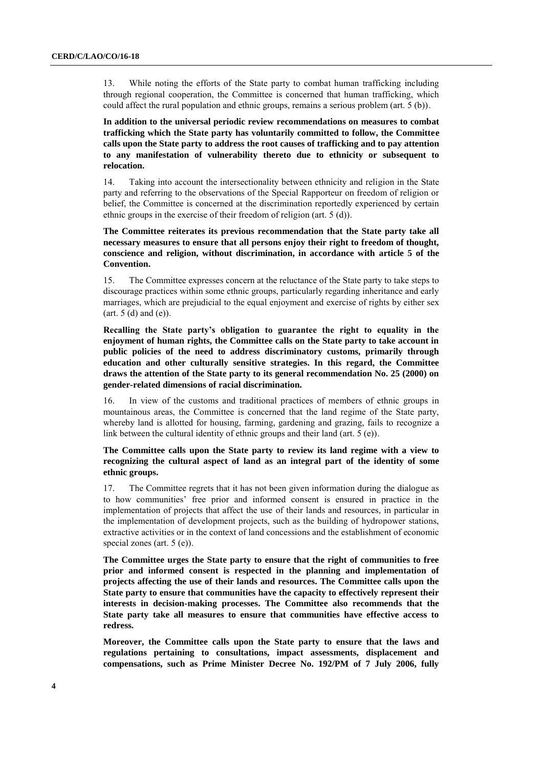13. While noting the efforts of the State party to combat human trafficking including through regional cooperation, the Committee is concerned that human trafficking, which could affect the rural population and ethnic groups, remains a serious problem (art. 5 (b)).

**In addition to the universal periodic review recommendations on measures to combat trafficking which the State party has voluntarily committed to follow, the Committee calls upon the State party to address the root causes of trafficking and to pay attention to any manifestation of vulnerability thereto due to ethnicity or subsequent to relocation.**

14. Taking into account the intersectionality between ethnicity and religion in the State party and referring to the observations of the Special Rapporteur on freedom of religion or belief, the Committee is concerned at the discrimination reportedly experienced by certain ethnic groups in the exercise of their freedom of religion (art. 5 (d)).

**The Committee reiterates its previous recommendation that the State party take all necessary measures to ensure that all persons enjoy their right to freedom of thought, conscience and religion, without discrimination, in accordance with article 5 of the Convention.**

15. The Committee expresses concern at the reluctance of the State party to take steps to discourage practices within some ethnic groups, particularly regarding inheritance and early marriages, which are prejudicial to the equal enjoyment and exercise of rights by either sex  $(art. 5 (d) and (e)).$ 

**Recalling the State party's obligation to guarantee the right to equality in the enjoyment of human rights, the Committee calls on the State party to take account in public policies of the need to address discriminatory customs, primarily through education and other culturally sensitive strategies. In this regard, the Committee draws the attention of the State party to its general recommendation No. 25 (2000) on gender-related dimensions of racial discrimination.**

16. In view of the customs and traditional practices of members of ethnic groups in mountainous areas, the Committee is concerned that the land regime of the State party, whereby land is allotted for housing, farming, gardening and grazing, fails to recognize a link between the cultural identity of ethnic groups and their land (art. 5 (e)).

### **The Committee calls upon the State party to review its land regime with a view to recognizing the cultural aspect of land as an integral part of the identity of some ethnic groups.**

17. The Committee regrets that it has not been given information during the dialogue as to how communities' free prior and informed consent is ensured in practice in the implementation of projects that affect the use of their lands and resources, in particular in the implementation of development projects, such as the building of hydropower stations, extractive activities or in the context of land concessions and the establishment of economic special zones (art. 5 (e)).

**The Committee urges the State party to ensure that the right of communities to free prior and informed consent is respected in the planning and implementation of projects affecting the use of their lands and resources. The Committee calls upon the State party to ensure that communities have the capacity to effectively represent their interests in decision-making processes. The Committee also recommends that the State party take all measures to ensure that communities have effective access to redress.** 

**Moreover, the Committee calls upon the State party to ensure that the laws and regulations pertaining to consultations, impact assessments, displacement and compensations, such as Prime Minister Decree No. 192/PM of 7 July 2006, fully**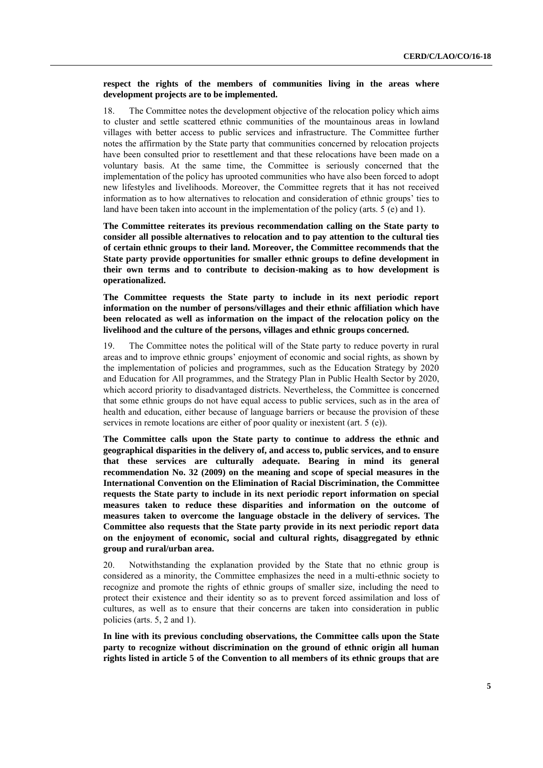#### **respect the rights of the members of communities living in the areas where development projects are to be implemented.**

18. The Committee notes the development objective of the relocation policy which aims to cluster and settle scattered ethnic communities of the mountainous areas in lowland villages with better access to public services and infrastructure. The Committee further notes the affirmation by the State party that communities concerned by relocation projects have been consulted prior to resettlement and that these relocations have been made on a voluntary basis. At the same time, the Committee is seriously concerned that the implementation of the policy has uprooted communities who have also been forced to adopt new lifestyles and livelihoods. Moreover, the Committee regrets that it has not received information as to how alternatives to relocation and consideration of ethnic groups' ties to land have been taken into account in the implementation of the policy (arts. 5 (e) and 1).

**The Committee reiterates its previous recommendation calling on the State party to consider all possible alternatives to relocation and to pay attention to the cultural ties of certain ethnic groups to their land. Moreover, the Committee recommends that the State party provide opportunities for smaller ethnic groups to define development in their own terms and to contribute to decision-making as to how development is operationalized.**

**The Committee requests the State party to include in its next periodic report information on the number of persons/villages and their ethnic affiliation which have been relocated as well as information on the impact of the relocation policy on the livelihood and the culture of the persons, villages and ethnic groups concerned.**

19. The Committee notes the political will of the State party to reduce poverty in rural areas and to improve ethnic groups' enjoyment of economic and social rights, as shown by the implementation of policies and programmes, such as the Education Strategy by 2020 and Education for All programmes, and the Strategy Plan in Public Health Sector by 2020, which accord priority to disadvantaged districts. Nevertheless, the Committee is concerned that some ethnic groups do not have equal access to public services, such as in the area of health and education, either because of language barriers or because the provision of these services in remote locations are either of poor quality or inexistent (art. 5 (e)).

**The Committee calls upon the State party to continue to address the ethnic and geographical disparities in the delivery of, and access to, public services, and to ensure that these services are culturally adequate. Bearing in mind its general recommendation No. 32 (2009) on the meaning and scope of special measures in the International Convention on the Elimination of Racial Discrimination, the Committee requests the State party to include in its next periodic report information on special measures taken to reduce these disparities and information on the outcome of measures taken to overcome the language obstacle in the delivery of services. The Committee also requests that the State party provide in its next periodic report data on the enjoyment of economic, social and cultural rights, disaggregated by ethnic group and rural/urban area.**

20. Notwithstanding the explanation provided by the State that no ethnic group is considered as a minority, the Committee emphasizes the need in a multi-ethnic society to recognize and promote the rights of ethnic groups of smaller size, including the need to protect their existence and their identity so as to prevent forced assimilation and loss of cultures, as well as to ensure that their concerns are taken into consideration in public policies (arts. 5, 2 and 1).

**In line with its previous concluding observations, the Committee calls upon the State party to recognize without discrimination on the ground of ethnic origin all human rights listed in article 5 of the Convention to all members of its ethnic groups that are**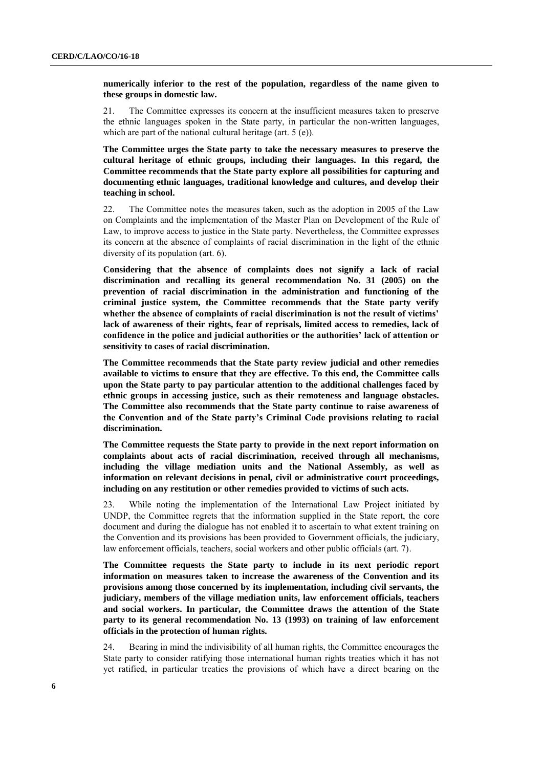**numerically inferior to the rest of the population, regardless of the name given to these groups in domestic law.**

21. The Committee expresses its concern at the insufficient measures taken to preserve the ethnic languages spoken in the State party, in particular the non-written languages, which are part of the national cultural heritage (art. 5 (e)).

**The Committee urges the State party to take the necessary measures to preserve the cultural heritage of ethnic groups, including their languages. In this regard, the Committee recommends that the State party explore all possibilities for capturing and documenting ethnic languages, traditional knowledge and cultures, and develop their teaching in school.**

22. The Committee notes the measures taken, such as the adoption in 2005 of the Law on Complaints and the implementation of the Master Plan on Development of the Rule of Law, to improve access to justice in the State party. Nevertheless, the Committee expresses its concern at the absence of complaints of racial discrimination in the light of the ethnic diversity of its population (art. 6).

**Considering that the absence of complaints does not signify a lack of racial discrimination and recalling its general recommendation No. 31 (2005) on the prevention of racial discrimination in the administration and functioning of the criminal justice system, the Committee recommends that the State party verify whether the absence of complaints of racial discrimination is not the result of victims' lack of awareness of their rights, fear of reprisals, limited access to remedies, lack of confidence in the police and judicial authorities or the authorities' lack of attention or sensitivity to cases of racial discrimination.**

**The Committee recommends that the State party review judicial and other remedies available to victims to ensure that they are effective. To this end, the Committee calls upon the State party to pay particular attention to the additional challenges faced by ethnic groups in accessing justice, such as their remoteness and language obstacles. The Committee also recommends that the State party continue to raise awareness of the Convention and of the State party's Criminal Code provisions relating to racial discrimination.**

**The Committee requests the State party to provide in the next report information on complaints about acts of racial discrimination, received through all mechanisms, including the village mediation units and the National Assembly, as well as information on relevant decisions in penal, civil or administrative court proceedings, including on any restitution or other remedies provided to victims of such acts.**

23. While noting the implementation of the International Law Project initiated by UNDP, the Committee regrets that the information supplied in the State report, the core document and during the dialogue has not enabled it to ascertain to what extent training on the Convention and its provisions has been provided to Government officials, the judiciary, law enforcement officials, teachers, social workers and other public officials (art. 7).

**The Committee requests the State party to include in its next periodic report information on measures taken to increase the awareness of the Convention and its provisions among those concerned by its implementation, including civil servants, the judiciary, members of the village mediation units, law enforcement officials, teachers and social workers. In particular, the Committee draws the attention of the State party to its general recommendation No. 13 (1993) on training of law enforcement officials in the protection of human rights.**

24. Bearing in mind the indivisibility of all human rights, the Committee encourages the State party to consider ratifying those international human rights treaties which it has not yet ratified, in particular treaties the provisions of which have a direct bearing on the